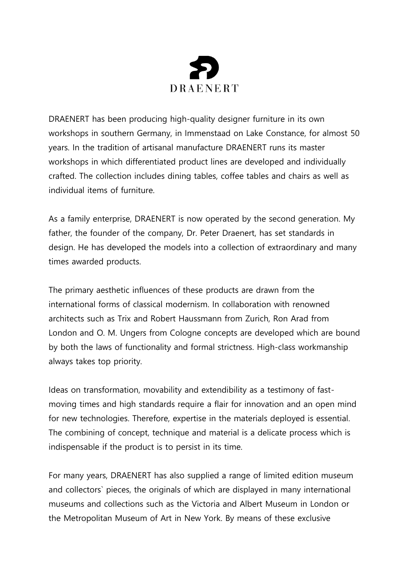

DRAENERT has been producing high-quality designer furniture in its own workshops in southern Germany, in Immenstaad on Lake Constance, for almost 50 years. In the tradition of artisanal manufacture DRAENERT runs its master workshops in which differentiated product lines are developed and individually crafted. The collection includes dining tables, coffee tables and chairs as well as individual items of furniture.

As a family enterprise, DRAENERT is now operated by the second generation. My father, the founder of the company, Dr. Peter Draenert, has set standards in design. He has developed the models into a collection of extraordinary and many times awarded products.

The primary aesthetic influences of these products are drawn from the international forms of classical modernism. In collaboration with renowned architects such as Trix and Robert Haussmann from Zurich, Ron Arad from London and O. M. Ungers from Cologne concepts are developed which are bound by both the laws of functionality and formal strictness. High-class workmanship always takes top priority.

Ideas on transformation, movability and extendibility as a testimony of fastmoving times and high standards require a flair for innovation and an open mind for new technologies. Therefore, expertise in the materials deployed is essential. The combining of concept, technique and material is a delicate process which is indispensable if the product is to persist in its time.

For many years, DRAENERT has also supplied a range of limited edition museum and collectors` pieces, the originals of which are displayed in many international museums and collections such as the Victoria and Albert Museum in London or the Metropolitan Museum of Art in New York. By means of these exclusive